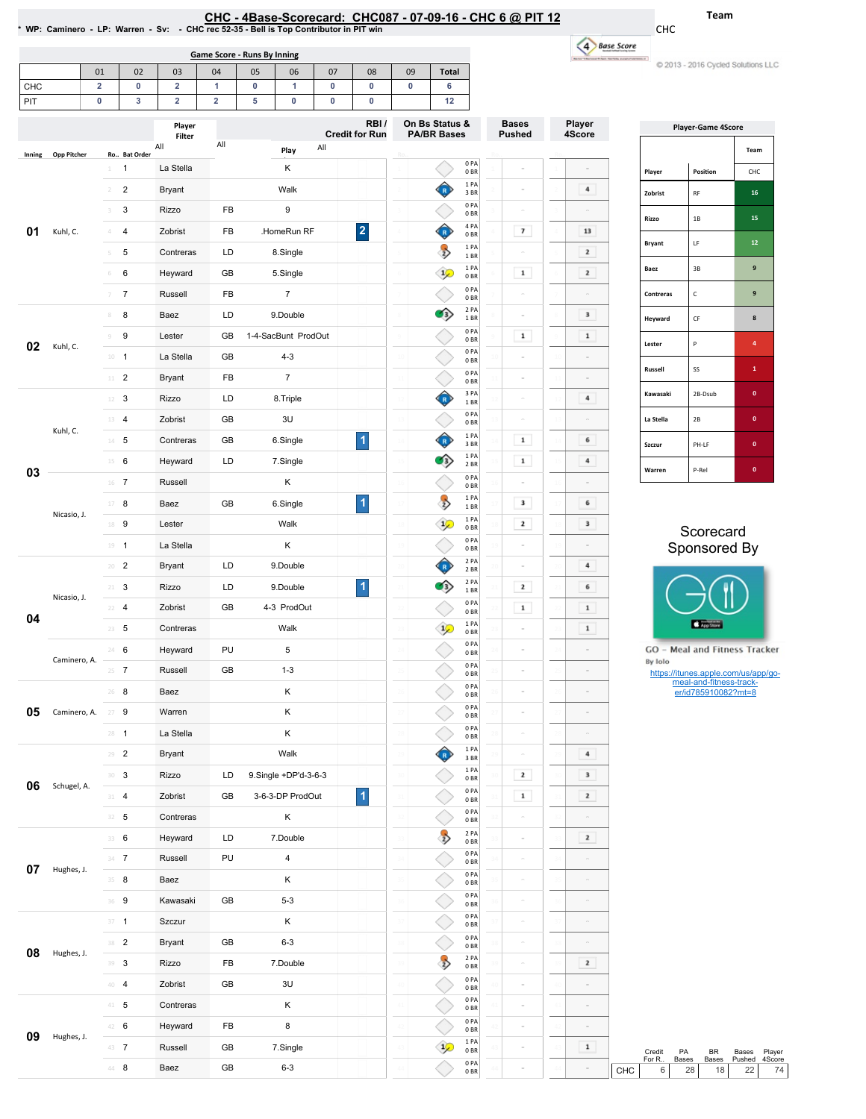| CHC - 4Base-Scorecard: CHC087 - 07-09-16 - CHC 6 @ PIT 12                              |  |
|----------------------------------------------------------------------------------------|--|
| * WP: Caminero - LP: Warren - Sv: - CHC rec 52-35 - Bell is Top Contributor in PIT win |  |

CH<sub>C</sub>

| Game Score - Runs By Inning<br>01<br>08<br>06<br>05<br>09<br>02<br>03<br>Total<br>04<br>07<br>$\sqrt{2}$<br>∠ |  |  |  |  |  |  |  |  |  |
|---------------------------------------------------------------------------------------------------------------|--|--|--|--|--|--|--|--|--|
|                                                                                                               |  |  |  |  |  |  |  |  |  |
|                                                                                                               |  |  |  |  |  |  |  |  |  |
|                                                                                                               |  |  |  |  |  |  |  |  |  |

| ase Score |
|-----------|
|           |
|           |

Team

CHC

**COMPARED CONSTRUCTED OF ALCOHOL** 

| PIT    |                    | $\pmb{0}$                | 3                          | 2                | $\overline{2}$ | 5 | $\pmb{0}$            | 0   | 0                             | 12                                   |                         |                               |                  |                         |                                                                |                              |
|--------|--------------------|--------------------------|----------------------------|------------------|----------------|---|----------------------|-----|-------------------------------|--------------------------------------|-------------------------|-------------------------------|------------------|-------------------------|----------------------------------------------------------------|------------------------------|
|        |                    |                          |                            | Player<br>Filter |                |   |                      |     | RBI/<br><b>Credit for Run</b> | On Bs Status &<br><b>PA/BR Bases</b> |                         | <b>Bases</b><br><b>Pushed</b> | Player<br>4Score |                         | <b>Player-Game 4Score</b>                                      |                              |
| Inning | <b>Opp Pitcher</b> |                          | Ro Bat Order               | All              | All            |   | Play                 | All |                               |                                      |                         |                               |                  |                         |                                                                | Team                         |
|        |                    | $1\,$                    | -1                         | La Stella        |                |   | Κ                    |     |                               |                                      | 0PA<br>0BR              |                               |                  | Player                  | Position                                                       | CHC                          |
|        |                    | $2 -$                    | $\sqrt{2}$                 | <b>Bryant</b>    |                |   | Walk                 |     |                               | Ô                                    | 1 PA<br>3BR             |                               | $\bf{4}$         | Zobrist                 | RF                                                             | 16                           |
|        |                    | 3                        | 3                          | Rizzo            | FB             |   | 9                    |     |                               |                                      | 0PA<br>0BR              | $\sim$                        | $\overline{a}$   | Rizzo                   | $1\,\mathrm{B}$                                                | 15                           |
| 01     | Kuhl, C.           | $4\,$                    | $\overline{4}$             | Zobrist          | FB             |   | .HomeRun RF          |     | $\overline{\mathbf{2}}$       | ♦                                    | 4 PA<br>0 <sub>BR</sub> | $\boldsymbol{\tau}$           | 13               |                         |                                                                |                              |
|        |                    | 5                        | 5                          | Contreras        | LD             |   | 8.Single             |     |                               | $\rightarrow$                        | 1PA<br>1BR              |                               | $\mathbf{z}$     | Bryant                  | LF                                                             | 12                           |
|        |                    | 6                        | 6                          | Heyward          | GB             |   | 5.Single             |     |                               | $\mathcal{L}$                        | 1PA<br>0BR              | $\mathbf 1$                   | $\mathbf{z}$     | Baez                    | 3B                                                             | $\boldsymbol{9}$             |
|        |                    | $\overline{\mathcal{I}}$ | $\overline{7}$             | Russell          | FB             |   | $\overline{7}$       |     |                               |                                      | 0PA<br>0 <sub>BR</sub>  |                               |                  | Contreras               | $\mathsf{C}$                                                   | $\boldsymbol{9}$             |
|        |                    | $\,$ 8 $\,$              | 8                          | Baez             | LD             |   | 9.Double             |     |                               | $\left\langle \cdot \right\rangle$   | 2 PA<br>1 BR            |                               | $\mathbf 3$      | Heyward                 | $\mathsf{CF}$                                                  | $\bf8$                       |
|        |                    | $\circ$                  | $\boldsymbol{9}$           | Lester           | GB             |   | 1-4-SacBunt ProdOut  |     |                               |                                      | 0PA<br>0 <sub>BR</sub>  | $\mathbf 1$                   | $\mathbf 1$      |                         |                                                                |                              |
| 02     | Kuhl, C.           |                          | $10 - 1$                   | La Stella        | GB             |   | $4 - 3$              |     |                               |                                      | 0PA<br>0 <sub>BR</sub>  |                               |                  | Lester                  | P                                                              | 4 <sup>1</sup>               |
|        |                    |                          | $11$ 2                     | <b>Bryant</b>    | FB             |   | $\overline{7}$       |     |                               |                                      | 0PA<br>0 <sub>BR</sub>  |                               |                  | Russell                 | SS                                                             | $\mathbf{1}$                 |
|        |                    |                          | $12 \t3$                   | Rizzo            | LD             |   | 8.Triple             |     |                               | 企                                    | 3 PA<br>1 BR            |                               | 4                | Kawasaki                | 2B-Dsub                                                        | $\mathbf{0}^-$               |
|        |                    |                          | $13 - 4$                   | Zobrist          | GB             |   | 3U                   |     |                               |                                      | 0PA<br>0 <sub>BR</sub>  |                               |                  | La Stella               | 2B                                                             | $\bullet$                    |
|        | Kuhl, C.           |                          | $14 - 5$                   | Contreras        | GB             |   | 6.Single             |     | $\overline{\mathbf{1}}$       | ♦                                    | 1 PA<br>3 BR            | $\mathbf 1$                   | 6                | Szczur                  | PH-LF                                                          | $\pmb{0}$                    |
|        |                    |                          | $15 \t 6$                  | Heyward          | LD             |   | 7.Single             |     |                               | O)                                   | 1 PA<br>2 BR            | $\mathbf 1$                   | $\bf{4}$         |                         |                                                                |                              |
| 03     |                    |                          | 16 7                       | Russell          |                |   | Κ                    |     |                               |                                      | 0PA<br>0 <sub>BR</sub>  |                               |                  | Warren                  | P-Rel                                                          | $\pmb{0}$                    |
|        |                    |                          | $17 - 8$                   | Baez             | GB             |   | 6.Single             |     | $\blacktriangleleft$          | $\rightarrow$                        | 1 PA<br>1 BR            | 3                             | 6                |                         |                                                                |                              |
|        | Nicasio, J.        |                          | 18 9                       | Lester           |                |   | Walk                 |     |                               | $\mathcal{L}$                        | 1 PA<br>0BR             | $\mathbf{z}$                  | $\mathbf 3$      |                         |                                                                |                              |
|        |                    |                          | $19 - 1$                   | La Stella        |                |   | Κ                    |     |                               |                                      | 0PA<br>0BR              |                               | $\overline{a}$   |                         | Scorecard<br>Sponsored By                                      |                              |
|        |                    |                          | $20 - 2$                   | <b>Bryant</b>    | LD             |   | 9.Double             |     |                               | ♦                                    | 2 PA                    |                               | $\bf{4}$         |                         |                                                                |                              |
|        |                    |                          | $21 - 3$                   | Rizzo            | LD             |   | 9.Double             |     | 1                             | $\circ$                              | 2 BR<br>2 PA            | $\mathbf{z}$                  | 6                |                         |                                                                |                              |
|        | Nicasio, J.        |                          | $22 - 4$                   | Zobrist          | GB             |   | 4-3 ProdOut          |     |                               |                                      | 1BR<br>0PA              | $\mathbf 1$                   | $\mathbf 1$      |                         |                                                                |                              |
| 04     |                    |                          | $23 \t 5$                  | Contreras        |                |   | Walk                 |     |                               | $\mathcal{P}$                        | 0BR<br>1PA              |                               | $\mathbf 1$      |                         | App Store                                                      |                              |
|        |                    |                          | 24 6                       | Heyward          | PU             |   | 5                    |     |                               |                                      | 0 <sub>BR</sub><br>0PA  |                               |                  |                         | GO - Meal and Fitness Tracker                                  |                              |
|        | Caminero, A.       |                          | $25 - 7$                   | Russell          | GB             |   | $1 - 3$              |     |                               |                                      | 0 <sub>BR</sub><br>0PA  |                               |                  | By Iolo                 |                                                                |                              |
|        |                    |                          | $26$ 8                     | Baez             |                |   | Κ                    |     |                               |                                      | 0 <sub>BR</sub><br>0PA  |                               | $\equiv$         |                         | https://itunes.apple.com/us/app/go-<br>meal-and-fitness-track- |                              |
| 05     | Caminero, A.       |                          | $27 - 9$                   | Warren           |                |   | Κ                    |     |                               |                                      | 0 <sub>BR</sub><br>0PA  |                               | $\,$             |                         | er/id785910082?mt=8                                            |                              |
|        |                    |                          |                            |                  |                |   |                      |     |                               |                                      | 0 <sub>BR</sub><br>0 PA |                               |                  |                         |                                                                |                              |
|        |                    |                          | $28 - 1$                   | La Stella        |                |   | Κ<br>Walk            |     |                               | Ĝ                                    | 0BR<br>1 PA             |                               | $\bf{4}$         |                         |                                                                |                              |
|        |                    |                          | $29 - 2$                   | Bryant           |                |   |                      |     |                               |                                      | 3BR<br>1PA              | $\mathbf{z}$                  | $\mathbf 3$      |                         |                                                                |                              |
| 06     | Schugel, A.        |                          | $\mathbf{30} - \mathbf{3}$ | Rizzo            | LD             |   | 9.Single +DP'd-3-6-3 |     |                               |                                      | 0BR<br>0PA              |                               |                  |                         |                                                                |                              |
|        |                    |                          | 31 4                       | Zobrist          | GB             |   | 3-6-3-DP ProdOut     |     | $\blacktriangleleft$          |                                      | 0 <sub>BR</sub><br>0PA  | $\mathbf 1$                   | $\mathbf{z}$     |                         |                                                                |                              |
|        |                    |                          | $32 - 5$                   | Contreras        |                |   | Κ                    |     |                               |                                      | 0BR<br>2 PA             |                               | $\equiv$         |                         |                                                                |                              |
|        |                    |                          | 33 6                       | Heyward          | LD             |   | 7.Double             |     |                               | $\rightarrow$                        | 0BR<br>0PA              |                               | $\mathbf{z}$     |                         |                                                                |                              |
| 07     | Hughes, J.         |                          | $34 - 7$                   | Russell          | PU             |   | 4                    |     |                               |                                      | 0BR<br>0PA              | $\sim$                        | $\equiv$         |                         |                                                                |                              |
|        |                    |                          | $35 - 8$                   | Baez             |                |   | Κ                    |     |                               |                                      | 0 <sub>BR</sub><br>0PA  |                               | $\overline{a}$   |                         |                                                                |                              |
|        |                    |                          | 36 9                       | Kawasaki         | GB             |   | $5 - 3$              |     |                               |                                      | 0 <sub>BR</sub><br>0PA  |                               |                  |                         |                                                                |                              |
|        |                    |                          | $37 - 1$                   | Szczur           |                |   | Κ                    |     |                               |                                      | 0BR                     |                               |                  |                         |                                                                |                              |
| 08     | Hughes, J.         |                          | 38 <sup>2</sup>            | Bryant           | GB             |   | $6 - 3$              |     |                               |                                      | 0PA<br>0B               |                               |                  |                         |                                                                |                              |
|        |                    |                          | 39 <sup>3</sup>            | Rizzo            | FB             |   | 7.Double             |     |                               | $\rightarrow$                        | 2 PA<br>0BR             |                               | $\mathbf{z}$     |                         |                                                                |                              |
|        |                    |                          | $40-4$                     | Zobrist          | GB             |   | 3U                   |     |                               |                                      | 0PA<br>0BR              |                               |                  |                         |                                                                |                              |
|        |                    |                          | $41 - 5$                   | Contreras        |                |   | Κ                    |     |                               |                                      | 0PA<br>0 <sub>BR</sub>  |                               |                  |                         |                                                                |                              |
| 09     | Hughes, J.         |                          | 42 6                       | Heyward          | FB             |   | 8                    |     |                               |                                      | 0PA<br>0BR              |                               | $\equiv$         |                         |                                                                |                              |
|        |                    |                          | 43 7                       | Russell          | GB             |   | 7.Single             |     |                               | $\mathcal{P}$                        | 1 PA<br>0 <sub>BR</sub> |                               | $\mathbf 1$      | Credit                  | PA<br>BR                                                       | Player<br>Bases              |
|        |                    |                          | $44$ 8                     | Baez             | GB             |   | $6 - 3$              |     |                               |                                      | 0PA<br>0 <sub>BR</sub>  |                               |                  | For R<br>$\,6\,$<br>CHC | Bases<br>Bases<br>28<br>18                                     | Pushed<br>4Score<br>22<br>74 |

|                | <b>Player-Game 4Score</b> |                |
|----------------|---------------------------|----------------|
|                |                           | Team           |
| Player         | Position                  | CHC            |
| Zobrist        | RF                        | 16             |
| Rizzo          | 1B                        | 15             |
| <b>Bryant</b>  | LF                        | 12             |
| Baez           | 3B                        | 9              |
| Contreras      | C                         | 9              |
| Heyward        | CF                        | 8              |
| Lester         | P                         | $\overline{a}$ |
| <b>Russell</b> | SS                        | 1              |
| Kawasaki       | 2B-Dsub                   | $\mathbf{0}$   |
| La Stella      | 2B                        | $\mathbf{0}$   |
| Szczur         | PH-LF                     | $\mathbf{0}$   |
| Warren         | P-Rel                     | $\mathbf{0}$   |

## Scorecard onsored By

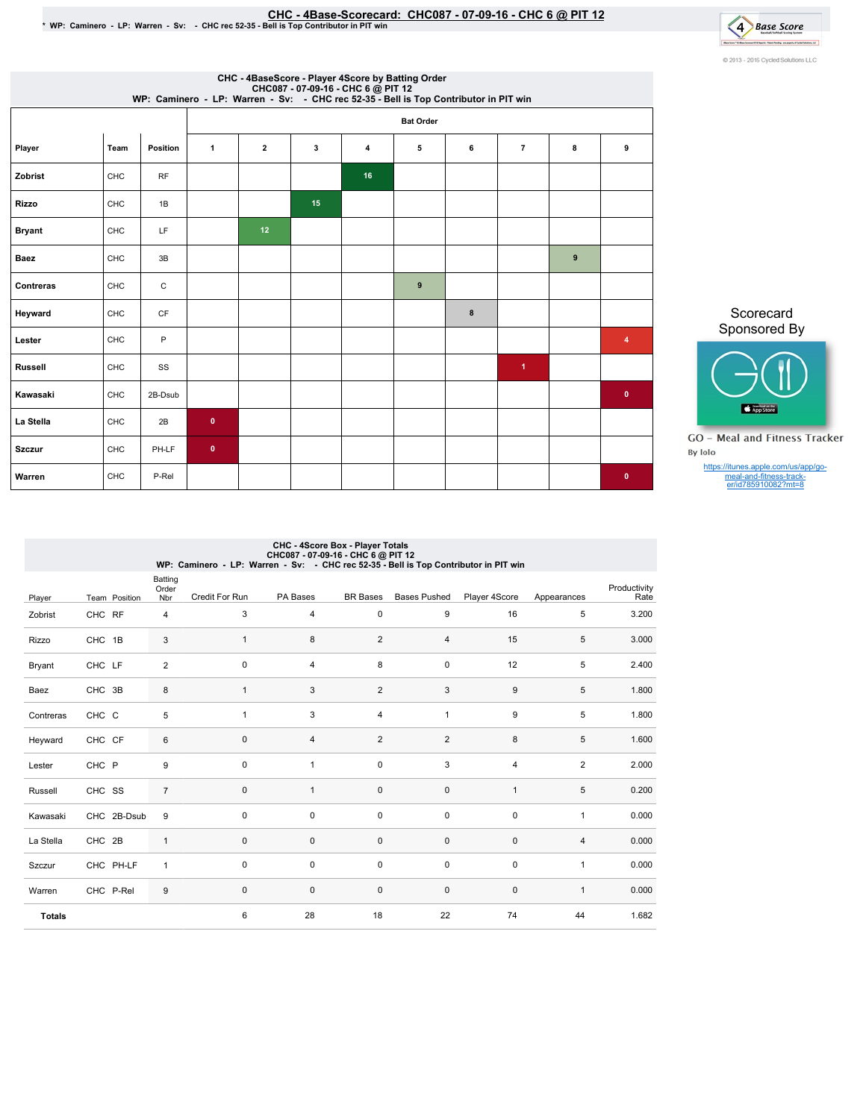## EHC - 4Base-Scorecard: CHC087 - 07-09-16 - CHC 6 @ PIT 12<br>\* WP: Caminero - LP: Warren - Sv: - CHC rec 52-35 - Bell is Top Contributor in PIT win



|                |      |          |           |    |    |    | CHC - 4BaseScore - Player 4Score by Batting Order | CHC087 - 07-09-16 - CHC 6 @ PIT 12<br>WP: Caminero - LP: Warren - Sv: - CHC rec 52-35 - Bell is Top Contributor in PIT win |                      |   |             |
|----------------|------|----------|-----------|----|----|----|---------------------------------------------------|----------------------------------------------------------------------------------------------------------------------------|----------------------|---|-------------|
|                |      |          |           |    |    |    | <b>Bat Order</b>                                  |                                                                                                                            |                      |   |             |
| Player         | Team | Position | 1         | 2  | 3  | 4  | 5                                                 | 6                                                                                                                          | $\overline{7}$       | 8 | 9           |
| Zobrist        | CHC  | RF       |           |    |    | 16 |                                                   |                                                                                                                            |                      |   |             |
| <b>Rizzo</b>   | CHC  | 1B       |           |    | 15 |    |                                                   |                                                                                                                            |                      |   |             |
| <b>Bryant</b>  | CHC  | LF       |           | 12 |    |    |                                                   |                                                                                                                            |                      |   |             |
| <b>Baez</b>    | CHC  | 3B       |           |    |    |    |                                                   |                                                                                                                            |                      | 9 |             |
| Contreras      | CHC  | С        |           |    |    |    | 9                                                 |                                                                                                                            |                      |   |             |
| Heyward        | CHC  | CF       |           |    |    |    |                                                   | 8                                                                                                                          |                      |   |             |
| Lester         | CHC  | P        |           |    |    |    |                                                   |                                                                                                                            |                      |   | 4           |
| <b>Russell</b> | CHC  | SS       |           |    |    |    |                                                   |                                                                                                                            | $\blacktriangleleft$ |   |             |
| Kawasaki       | CHC  | 2B-Dsub  |           |    |    |    |                                                   |                                                                                                                            |                      |   | $\mathbf 0$ |
| La Stella      | CHC  | 2B       | $\bullet$ |    |    |    |                                                   |                                                                                                                            |                      |   |             |
| <b>Szczur</b>  | CHC  | PH-LF    | $\bullet$ |    |    |    |                                                   |                                                                                                                            |                      |   |             |
| Warren         | CHC  | P-Rel    |           |    |    |    |                                                   |                                                                                                                            |                      |   | $\bullet$   |

Scorecard Sponsored By



**GO** - Meal and Fitness Tracker By Iolo

https://itunes.apple.com/us/app/go-meal-and-fitness-track-er/id785910082?mt=8

|               |               |                                | WP: Caminero - LP: Warren - Sv: - CHC rec 52-35 - Bell is Top Contributor in PIT win | CHC - 4Score Box - Player Totals<br>CHC087 - 07-09-16 - CHC 6 @ PIT 12 |                 |                     |                |              |                      |
|---------------|---------------|--------------------------------|--------------------------------------------------------------------------------------|------------------------------------------------------------------------|-----------------|---------------------|----------------|--------------|----------------------|
| Player        | Team Position | <b>Batting</b><br>Order<br>Nbr | Credit For Run                                                                       | PA Bases                                                               | <b>BR</b> Bases | <b>Bases Pushed</b> | Player 4Score  | Appearances  | Productivity<br>Rate |
| Zobrist       | CHC RF        | 4                              | 3                                                                                    | $\overline{4}$                                                         | $\mathbf 0$     | 9                   | 16             | 5            | 3.200                |
| <b>Rizzo</b>  | CHC 1B        | 3                              | 1                                                                                    | 8                                                                      | $\overline{2}$  | 4                   | 15             | 5            | 3.000                |
| Bryant        | CHC LF        | $\overline{2}$                 | $\mathbf 0$                                                                          | $\overline{4}$                                                         | 8               | $\mathbf 0$         | 12             | 5            | 2.400                |
| Baez          | CHC 3B        | 8                              | $\mathbf{1}$                                                                         | 3                                                                      | $\overline{2}$  | 3                   | 9              | 5            | 1.800                |
| Contreras     | CHC C         | 5                              | $\mathbf{1}$                                                                         | 3                                                                      | $\overline{4}$  | $\mathbf{1}$        | 9              | 5            | 1.800                |
| Heyward       | CHC CF        | 6                              | $\mathbf 0$                                                                          | $\overline{4}$                                                         | $\overline{2}$  | 2                   | 8              | 5            | 1.600                |
| Lester        | CHC P         | 9                              | $\Omega$                                                                             | $\overline{1}$                                                         | $\mathbf 0$     | 3                   | $\overline{4}$ | 2            | 2.000                |
| Russell       | CHC SS        | $\overline{7}$                 | $\mathbf 0$                                                                          | $\mathbf{1}$                                                           | $\mathbf 0$     | 0                   | $\mathbf{1}$   | 5            | 0.200                |
| Kawasaki      | CHC 2B-Dsub   | 9                              | $\Omega$                                                                             | $\mathbf 0$                                                            | $\mathbf 0$     | $\mathbf 0$         | $\mathbf 0$    | $\mathbf{1}$ | 0.000                |
| La Stella     | CHC 2B        | $\mathbf{1}$                   | $\mathbf 0$                                                                          | $\mathbf 0$                                                            | $\pmb{0}$       | 0                   | $\mathbf 0$    | 4            | 0.000                |
| Szczur        | CHC PH-LF     | 1                              | $\Omega$                                                                             | $\mathbf 0$                                                            | 0               | 0                   | $\mathbf 0$    | $\mathbf{1}$ | 0.000                |
| Warren        | CHC P-Rel     | 9                              | $\mathbf 0$                                                                          | $\mathbf 0$                                                            | $\mathbf 0$     | $\mathbf 0$         | $\mathbf 0$    | $\mathbf{1}$ | 0.000                |
| <b>Totals</b> |               |                                | 6                                                                                    | 28                                                                     | 18              | 22                  | 74             | 44           | 1.682                |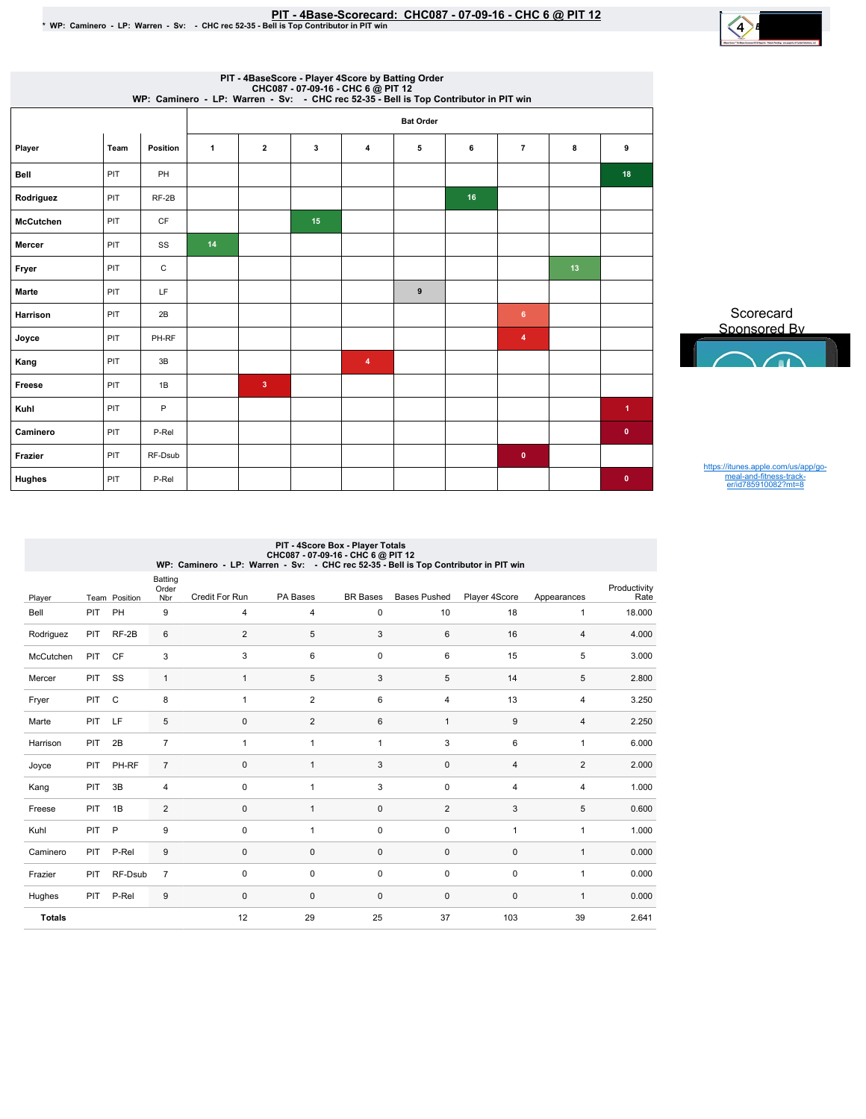

|                  |      |              |    |                         |    | PIT - 4BaseScore - Player 4Score by Batting Order<br>WP: Caminero - LP: Warren - Sv: - CHC 86 DPIT 12<br>WP: Caminero - LP: Warren - Sv: - CHC rec 52-35 - Bell is Top Contributor in PIT win |                  |    |                         |    |                      |
|------------------|------|--------------|----|-------------------------|----|-----------------------------------------------------------------------------------------------------------------------------------------------------------------------------------------------|------------------|----|-------------------------|----|----------------------|
|                  |      |              |    |                         |    |                                                                                                                                                                                               | <b>Bat Order</b> |    |                         |    |                      |
| Player           | Team | Position     | 1  | $\overline{\mathbf{2}}$ | 3  | 4                                                                                                                                                                                             | 5                | 6  | $\overline{7}$          | 8  | 9                    |
| Bell             | PIT  | PH           |    |                         |    |                                                                                                                                                                                               |                  |    |                         |    | 18                   |
| Rodriguez        | PIT  | $RF-2B$      |    |                         |    |                                                                                                                                                                                               |                  | 16 |                         |    |                      |
| <b>McCutchen</b> | PIT  | CF           |    |                         | 15 |                                                                                                                                                                                               |                  |    |                         |    |                      |
| Mercer           | PIT  | SS           | 14 |                         |    |                                                                                                                                                                                               |                  |    |                         |    |                      |
| Fryer            | PIT  | $\mathsf{C}$ |    |                         |    |                                                                                                                                                                                               |                  |    |                         | 13 |                      |
| Marte            | PIT  | LF           |    |                         |    |                                                                                                                                                                                               | 9                |    |                         |    |                      |
| Harrison         | PIT  | 2B           |    |                         |    |                                                                                                                                                                                               |                  |    | 6                       |    |                      |
| Joyce            | PIT  | PH-RF        |    |                         |    |                                                                                                                                                                                               |                  |    | $\overline{\mathbf{4}}$ |    |                      |
| Kang             | PIT  | 3B           |    |                         |    | $\overline{4}$                                                                                                                                                                                |                  |    |                         |    |                      |
| Freese           | PIT  | 1B           |    | $\overline{\mathbf{3}}$ |    |                                                                                                                                                                                               |                  |    |                         |    |                      |
| Kuhl             | PIT  | P            |    |                         |    |                                                                                                                                                                                               |                  |    |                         |    | $\blacktriangleleft$ |
| Caminero         | PIT  | P-Rel        |    |                         |    |                                                                                                                                                                                               |                  |    |                         |    | $\bullet$            |
| Frazier          | PIT  | RF-Dsub      |    |                         |    |                                                                                                                                                                                               |                  |    | $\bullet$               |    |                      |
| Hughes           | PIT  | P-Rel        |    |                         |    |                                                                                                                                                                                               |                  |    |                         |    | $\bullet$            |

Scorecard Sponsored By

https://itunes.apple.com/us/app/go-meal-and-fitness-track-er/id785910082?mt=8

|               | PIT - 4Score Box - Player Totals<br>CHC087 - 07-09-16 - CHC 6 @ PIT 12<br>WP: Caminero - LP: Warren - Sv: - CHC rec 52-35 - Bell is Top Contributor in PIT win |               |                         |                |                |                 |                     |                |                |                      |  |  |  |
|---------------|----------------------------------------------------------------------------------------------------------------------------------------------------------------|---------------|-------------------------|----------------|----------------|-----------------|---------------------|----------------|----------------|----------------------|--|--|--|
| Player        |                                                                                                                                                                | Team Position | Batting<br>Order<br>Nbr | Credit For Run | PA Bases       | <b>BR</b> Bases | <b>Bases Pushed</b> | Player 4Score  | Appearances    | Productivity<br>Rate |  |  |  |
| Bell          | PIT                                                                                                                                                            | PH            | 9                       | $\overline{4}$ | $\overline{4}$ | 0               | 10                  | 18             | $\mathbf{1}$   | 18.000               |  |  |  |
| Rodriguez     | PIT                                                                                                                                                            | $RF-2B$       | 6                       | $\overline{2}$ | 5              | 3               | 6                   | 16             | $\overline{4}$ | 4.000                |  |  |  |
| McCutchen     | PIT                                                                                                                                                            | <b>CF</b>     | 3                       | 3              | 6              | 0               | 6                   | 15             | 5              | 3.000                |  |  |  |
| Mercer        | PIT                                                                                                                                                            | SS            | $\mathbf{1}$            | $\mathbf{1}$   | 5              | 3               | 5                   | 14             | 5              | 2.800                |  |  |  |
| Fryer         | PIT                                                                                                                                                            | C             | 8                       | $\overline{1}$ | $\overline{2}$ | 6               | $\overline{4}$      | 13             | $\overline{4}$ | 3.250                |  |  |  |
| Marte         | PIT                                                                                                                                                            | LF            | 5                       | $\mathbf 0$    | $\overline{2}$ | 6               | $\mathbf{1}$        | 9              | $\overline{4}$ | 2.250                |  |  |  |
| Harrison      | PIT                                                                                                                                                            | 2B            | $\overline{7}$          | $\overline{1}$ | $\mathbf{1}$   | $\mathbf{1}$    | 3                   | 6              | $\mathbf{1}$   | 6.000                |  |  |  |
| Joyce         | PIT                                                                                                                                                            | PH-RF         | $\overline{7}$          | $\mathbf 0$    | $\mathbf{1}$   | 3               | $\mathbf 0$         | $\overline{4}$ | $\overline{2}$ | 2.000                |  |  |  |
| Kang          | PIT                                                                                                                                                            | 3B            | $\overline{4}$          | $\Omega$       | $\mathbf{1}$   | 3               | $\Omega$            | 4              | $\overline{4}$ | 1.000                |  |  |  |
| Freese        | PIT                                                                                                                                                            | 1B            | 2                       | $\mathbf 0$    | $\mathbf{1}$   | 0               | 2                   | 3              | 5              | 0.600                |  |  |  |
| Kuhl          | PIT                                                                                                                                                            | P             | 9                       | $\mathbf 0$    | $\mathbf{1}$   | 0               | 0                   | $\mathbf{1}$   | $\mathbf{1}$   | 1.000                |  |  |  |
| Caminero      | PIT                                                                                                                                                            | P-Rel         | 9                       | $\mathbf 0$    | $\mathbf 0$    | 0               | $\mathbf 0$         | $\mathbf 0$    | $\mathbf{1}$   | 0.000                |  |  |  |
| Frazier       | PIT                                                                                                                                                            | RF-Dsub       | $\overline{7}$          | 0              | 0              | 0               | 0                   | 0              | $\mathbf{1}$   | 0.000                |  |  |  |
| Hughes        | PIT                                                                                                                                                            | P-Rel         | 9                       | $\mathbf 0$    | $\mathbf 0$    | 0               | $\mathbf 0$         | $\mathbf 0$    | $\mathbf{1}$   | 0.000                |  |  |  |
| <b>Totals</b> |                                                                                                                                                                |               |                         | 12             | 29             | 25              | 37                  | 103            | 39             | 2.641                |  |  |  |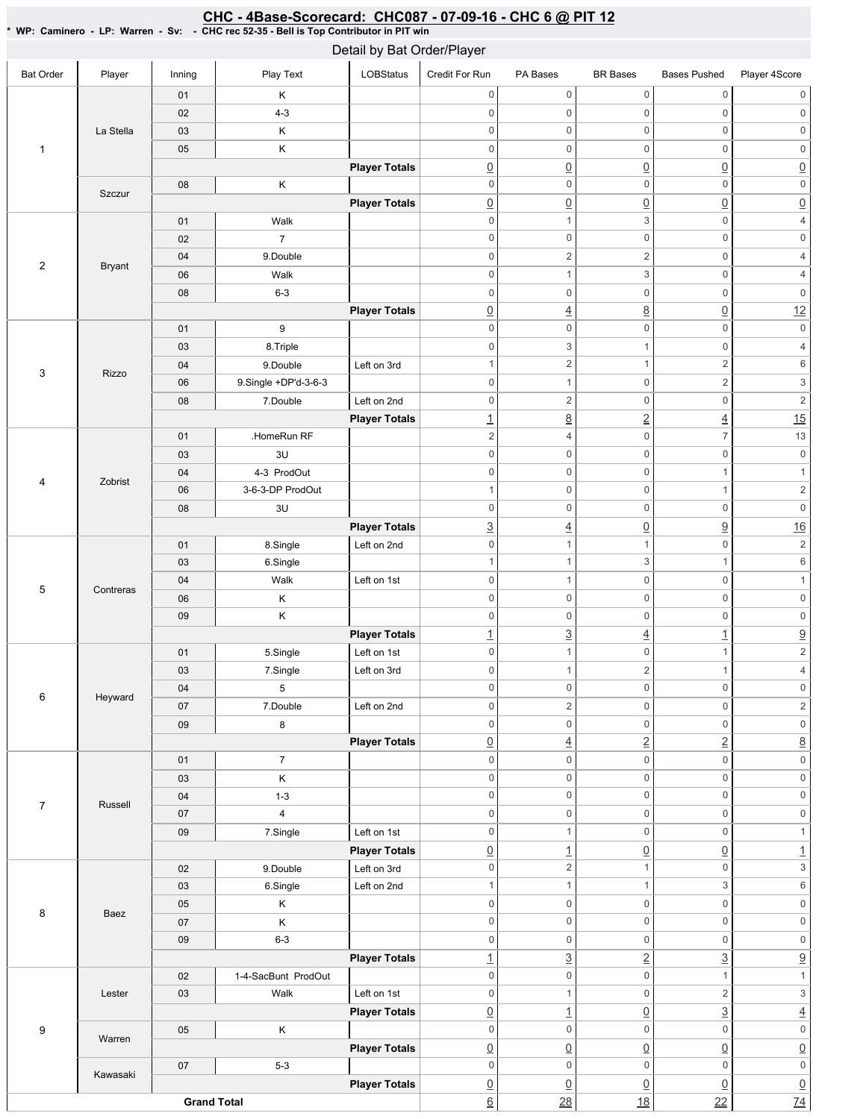## CHC - 4Base-Scorecard: CHC087 - 07-09-16 - CHC 6 @ PIT 12

| * WP: Caminero - LP: Warren - Sv: - CHC rec 52-35 - Bell is Top Contributor in PIT win |
|----------------------------------------------------------------------------------------|
| Dotail by Rat Order/Dlaver                                                             |

|                  |               |                    |                      | Detail by Bat Order/Player |                                |                                            |                                 |                                        |                                             |
|------------------|---------------|--------------------|----------------------|----------------------------|--------------------------------|--------------------------------------------|---------------------------------|----------------------------------------|---------------------------------------------|
| <b>Bat Order</b> | Player        | Inning             | Play Text            | LOBStatus                  | Credit For Run                 | PA Bases                                   | <b>BR</b> Bases                 | <b>Bases Pushed</b>                    | Player 4Score                               |
|                  |               | 01                 | Κ                    |                            | $\mathbf 0$                    | $\mathsf{O}\xspace$                        | $\mathsf{O}\xspace$             | $\mathsf{O}\xspace$                    | 0                                           |
|                  |               | 02                 | $4 - 3$              |                            | $\mathbf 0$                    | $\mathbf 0$                                | 0                               | $\mathbf 0$                            | $\,0\,$                                     |
|                  | La Stella     | 03                 | Κ                    |                            | $\mathsf 0$                    | $\mathbf 0$                                | $\mathsf 0$                     | $\mathsf 0$                            | $\mathsf 0$                                 |
| $\mathbf{1}$     |               | 05                 | Κ                    |                            | $\mathbf 0$                    | $\mathsf{O}$                               | 0                               | $\mathbf 0$                            | $\mathsf 0$                                 |
|                  |               |                    |                      | <b>Player Totals</b>       | $\underline{0}$                | $\underline{0}$                            | $\underline{0}$                 | $\underline{0}$                        | $\underline{0}$                             |
|                  |               | 08                 | Κ                    |                            | $\mathbb O$                    | $\mathsf{O}$                               | 0                               | $\mathbf 0$                            | $\boldsymbol{0}$                            |
|                  | Szczur        |                    |                      | <b>Player Totals</b>       | $\underline{0}$                | $\underline{0}$                            | $\underline{0}$                 | $\underline{0}$                        | $\underline{0}$                             |
|                  |               | 01                 | Walk                 |                            | $\mathbb O$                    | $\mathbf{1}$                               | 3                               | $\mathbb O$                            | $\sqrt{4}$                                  |
|                  |               | 02                 | $\overline{7}$       |                            | $\mathbf 0$                    | $\mathsf{O}\xspace$                        | 0                               | $\mathbf 0$                            | $\mathsf{O}\xspace$                         |
|                  |               | 04                 | 9.Double             |                            | $\mathbf 0$                    | $\sqrt{2}$                                 | $\overline{c}$                  | $\mathbf 0$                            | $\sqrt{4}$                                  |
| $\sqrt{2}$       | <b>Bryant</b> | 06                 | Walk                 |                            | $\mathbf 0$                    | $\mathbf{1}$                               | 3                               | $\mathbf 0$                            | $\sqrt{4}$                                  |
|                  |               | 08                 | $6 - 3$              |                            | $\mathsf 0$                    | $\mathsf{O}\xspace$                        | $\mathsf 0$                     | $\mathbf 0$                            | $\mathsf{0}$                                |
|                  |               |                    |                      | <b>Player Totals</b>       | $\underline{0}$                | $\overline{4}$                             | $\underline{8}$                 | $\underline{0}$                        | 12                                          |
|                  |               | 01                 | $\boldsymbol{9}$     |                            | $\,0\,$                        | $\mathsf{O}\xspace$                        | 0                               | $\mathbf 0$                            | $\mathsf{O}\xspace$                         |
|                  |               | 03                 | 8. Triple            |                            | $\,0\,$                        | 3                                          | $\mathbf{1}$                    | $\mathbf 0$                            | $\sqrt{4}$                                  |
|                  |               |                    |                      | Left on 3rd                | $\mathbf{1}$                   | 2                                          | $\mathbf{1}$                    | $\overline{2}$                         | 6                                           |
| 3                | Rizzo         | 04                 | 9.Double             |                            |                                |                                            |                                 |                                        |                                             |
|                  |               | 06                 | 9.Single +DP'd-3-6-3 |                            | $\mathbf 0$<br>$\mathbf 0$     | $\mathbf{1}$<br>2                          | 0<br>$\mathsf{O}\xspace$        | $\sqrt{2}$<br>$\mathbf 0$              | $\ensuremath{\mathsf{3}}$<br>$\overline{2}$ |
|                  |               | 08                 | 7.Double             | Left on 2nd                |                                |                                            |                                 |                                        | $\overline{15}$                             |
|                  |               |                    | .HomeRun RF          | <b>Player Totals</b>       | $\overline{1}$                 | $\underline{8}$<br>$\overline{4}$          | $\underline{2}$<br>$\mathsf 0$  | $\underline{4}$<br>$\overline{7}$      | 13                                          |
|                  |               | 01                 |                      |                            | $\sqrt{2}$                     |                                            |                                 |                                        |                                             |
|                  |               | 03                 | 3U                   |                            | $\mathbf 0$<br>$\mathbf 0$     | $\mathsf{O}\xspace$<br>$\mathbf 0$         | $\mathsf{O}\xspace$<br>0        | $\mathbf 0$<br>$\mathbf{1}$            | $\mathsf{O}\xspace$<br>$\mathbf{1}$         |
| $\overline{4}$   | Zobrist       | 04                 | 4-3 ProdOut          |                            |                                |                                            | 0                               |                                        |                                             |
|                  |               | 06                 | 3-6-3-DP ProdOut     |                            | $\mathbf{1}$<br>$\,0\,$        | $\mathsf{O}\xspace$<br>$\mathsf{O}\xspace$ | 0                               | $\mathbf{1}$<br>$\mathbf 0$            | $\sqrt{2}$<br>$\mathsf{O}\xspace$           |
|                  |               | 08                 | $3\cup$              |                            |                                |                                            |                                 |                                        |                                             |
|                  |               |                    |                      | <b>Player Totals</b>       | $\overline{3}$                 | $\overline{4}$                             | $\underline{0}$                 | $\underline{9}$                        | 16<br>$\overline{2}$                        |
| $\mathbf 5$      |               | 01                 | 8.Single             | Left on 2nd                | $\mathbf 0$                    | $\mathbf{1}$                               | $\mathbf{1}$                    | $\mathbf 0$                            |                                             |
|                  |               | 03                 | 6.Single             |                            | $\mathbf{1}$                   | $\mathbf{1}$                               | 3                               | $\mathbf{1}$                           | $\,6\,$                                     |
|                  | Contreras     | 04                 | Walk                 | Left on 1st                | $\,0\,$                        | $\mathbf{1}$                               | $\mathsf{O}\xspace$             | $\mathbf 0$                            | $\mathbf{1}$                                |
|                  |               | 06                 | Κ                    |                            | $\mathbb O$                    | $\mathbf 0$                                | $\mathsf 0$                     | $\mathbf 0$                            | $\mathsf{0}$                                |
|                  |               | 09                 | Κ                    |                            | $\,0\,$                        | $\mathsf{O}\xspace$                        | 0                               | $\mathsf{O}\xspace$                    | $\mathsf{O}\xspace$                         |
|                  |               |                    |                      | <b>Player Totals</b>       | $\overline{1}$                 | $\underline{3}$                            | $\overline{4}$                  | $\underline{\mathbf{1}}$               | $\frac{9}{2}$                               |
|                  |               | 01                 | 5.Single             | Left on 1st                | $\mathbf 0$                    | $\mathbf{1}$                               | $\mathsf{O}\xspace$             | $\mathbf{1}$                           |                                             |
|                  |               | 03                 | 7.Single             | Left on 3rd                | $\mathbf 0$                    | 1                                          | $\overline{c}$                  | $\mathbf{1}$                           | $\overline{4}$                              |
| 6                | Heyward       | 04                 | 5                    |                            | 0                              | 0                                          | 0                               | 0                                      | 0                                           |
|                  |               | 07                 | 7.Double             | Left on 2nd                | $\mathbf 0$                    | $\overline{2}$                             | 0<br>$\mathsf 0$                | $\mathsf{O}\xspace$                    | $\overline{c}$<br>$\mathsf{O}\xspace$       |
|                  |               | $09\,$             | 8                    |                            | $\mathbf 0$                    | $\mathsf{O}\xspace$                        |                                 | $\mathsf{O}\xspace$                    |                                             |
|                  |               |                    | $\overline{7}$       | <b>Player Totals</b>       | $\underline{0}$<br>$\mathbf 0$ | $\overline{4}$<br>$\mathsf{O}\xspace$      | $\overline{2}$<br>0             | $\underline{2}$<br>$\mathsf{O}\xspace$ | $\underline{8}$<br>$\mathsf{O}\xspace$      |
|                  |               | 01                 |                      |                            | $\mathbf 0$                    | $\mathsf{O}\xspace$                        | $\mathsf{O}\xspace$             | $\mathbf 0$                            |                                             |
|                  |               | 03<br>04           | Κ<br>$1 - 3$         |                            | $\mathbf 0$                    | $\mathsf{O}\xspace$                        | 0                               | $\mathsf{O}\xspace$                    | $\mathsf{O}\xspace$<br>$\mathsf{O}\xspace$  |
| $\overline{7}$   | Russell       |                    | 4                    |                            | $\mathbf 0$                    | $\mathsf{O}\xspace$                        | $\mathsf{O}\xspace$             | $\mathsf{O}\xspace$                    |                                             |
|                  |               | 07                 |                      |                            | $\mathbf 0$                    | $\mathbf{1}$                               | 0                               | $\mathsf{O}\xspace$                    | $\mathsf{O}\xspace$<br>$\mathbf{1}$         |
|                  |               | 09                 | 7.Single             | Left on 1st                |                                |                                            |                                 |                                        |                                             |
|                  |               |                    |                      | <b>Player Totals</b>       | $\underline{0}$                | $\overline{1}$<br>$\overline{2}$           | $\underline{0}$<br>$\mathbf{1}$ | $\underline{0}$<br>$\mathsf{O}\xspace$ | $\frac{1}{3}$                               |
|                  |               | 02                 | 9.Double             | Left on 3rd                | $\mathbf 0$                    |                                            |                                 |                                        |                                             |
|                  |               | 03                 | 6.Single             | Left on 2nd                | $\mathbf{1}$                   | $\mathbf{1}$                               | $\mathbf{1}$                    | 3                                      | $\,6\,$                                     |
| 8                | Baez          | 05                 | Κ                    |                            | $\mathbf 0$                    | $\mathsf{O}\xspace$                        | 0                               | $\mathsf{O}\xspace$                    | $\mathsf{O}\xspace$                         |
|                  |               | 07                 | Κ                    |                            | $\,0\,$                        | $\mathsf{O}\xspace$                        | 0                               | $\mathbf 0$                            | $\mathsf{O}\xspace$                         |
|                  |               | $09\,$             | $6 - 3$              |                            | $\mathbf 0$                    | $\mathsf{O}\xspace$                        | 0                               | $\mathsf{O}\xspace$                    | $\mathsf{O}\xspace$                         |
|                  |               |                    |                      | <b>Player Totals</b>       | $\overline{1}$                 | $\underline{3}$                            | $\overline{2}$                  | $\underline{3}$                        | $\underline{9}$                             |
|                  |               | 02                 | 1-4-SacBunt ProdOut  |                            | $\mathbf 0$                    | $\mathsf{O}\xspace$                        | $\mathsf{O}\xspace$             | $\mathbf{1}$                           | $\mathbf 1$                                 |
|                  | Lester        | 03                 | Walk                 | Left on 1st                | $\mathbf 0$                    | $\mathbf{1}$                               | 0                               | $\overline{c}$                         | $\ensuremath{\mathsf{3}}$                   |
|                  |               |                    |                      | <b>Player Totals</b>       | $\underline{0}$                | $\perp$                                    | $\underline{0}$                 | $\underline{3}$                        | $\overline{4}$                              |
| $\boldsymbol{9}$ | Warren        | $05\,$             | Κ                    |                            | $\mathbf 0$                    | $\mathsf{O}\xspace$                        | $\mathsf{O}\xspace$             | $\mathsf{O}\xspace$                    | $\overline{\text{o}}$                       |
|                  |               |                    |                      | <b>Player Totals</b>       | $\underline{0}$                | $\underline{0}$                            | $\underline{0}$                 | $\underline{0}$                        | $\underline{0}$                             |
|                  | Kawasaki      | 07                 | $5-3$                |                            | $\mathbf 0$                    | $\mathsf{O}\xspace$                        | $\mathsf 0$                     | $\mathbf 0$                            | $\overline{\mathbf{0}}$                     |
|                  |               |                    |                      | <b>Player Totals</b>       | $\underline{0}$                | $\underline{0}$                            | $\underline{0}$                 | $\underline{0}$                        | $\underline{0}$<br>$\overline{74}$          |
|                  |               | <b>Grand Total</b> |                      |                            | 6                              | $\overline{28}$                            | 18                              | 22                                     |                                             |